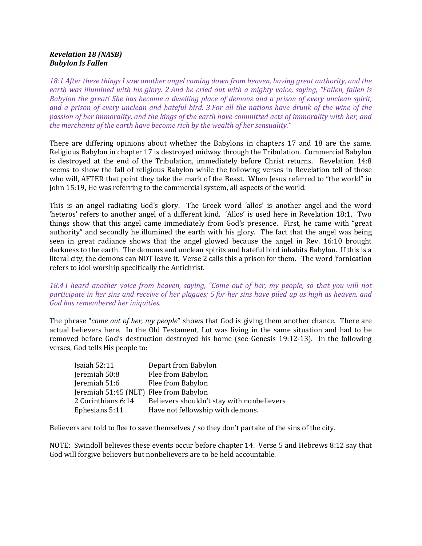## Revelation 18 (NASB) Babylon Is Fallen

18:1 After these things I saw another angel coming down from heaven, having great authority, and the earth was illumined with his glory. 2 And he cried out with a mighty voice, saying, "Fallen, fallen is Babylon the great! She has become a dwelling place of demons and a prison of every unclean spirit, and a prison of every unclean and hateful bird. 3 For all the nations have drunk of the wine of the passion of her immorality, and the kings of the earth have committed acts of immorality with her, and the merchants of the earth have become rich by the wealth of her sensuality."

There are differing opinions about whether the Babylons in chapters 17 and 18 are the same. Religious Babylon in chapter 17 is destroyed midway through the Tribulation. Commercial Babylon is destroyed at the end of the Tribulation, immediately before Christ returns. Revelation 14:8 seems to show the fall of religious Babylon while the following verses in Revelation tell of those who will, AFTER that point they take the mark of the Beast. When Jesus referred to "the world" in John 15:19, He was referring to the commercial system, all aspects of the world.

This is an angel radiating God's glory. The Greek word 'allos' is another angel and the word 'heteros' refers to another angel of a different kind. 'Allos' is used here in Revelation 18:1. Two things show that this angel came immediately from God's presence. First, he came with "great authority" and secondly he illumined the earth with his glory. The fact that the angel was being seen in great radiance shows that the angel glowed because the angel in Rev. 16:10 brought darkness to the earth. The demons and unclean spirits and hateful bird inhabits Babylon. If this is a literal city, the demons can NOT leave it. Verse 2 calls this a prison for them. The word 'fornication refers to idol worship specifically the Antichrist.

18:4 I heard another voice from heaven, saying, "Come out of her, my people, so that you will not participate in her sins and receive of her plagues; 5 for her sins have piled up as high as heaven, and God has remembered her iniquities.

The phrase "come out of her, my people" shows that God is giving them another chance. There are actual believers here. In the Old Testament, Lot was living in the same situation and had to be removed before God's destruction destroyed his home (see Genesis 19:12-13). In the following verses, God tells His people to:

| <b>Isaiah 52:11</b>                    | Depart from Babylon                        |
|----------------------------------------|--------------------------------------------|
| Jeremiah 50:8                          | Flee from Babylon                          |
| Jeremiah 51:6                          | Flee from Babylon                          |
| Jeremiah 51:45 (NLT) Flee from Babylon |                                            |
| 2 Corinthians 6:14                     | Believers shouldn't stay with nonbelievers |
| Ephesians 5:11                         | Have not fellowship with demons.           |

Believers are told to flee to save themselves / so they don't partake of the sins of the city.

NOTE: Swindoll believes these events occur before chapter 14. Verse 5 and Hebrews 8:12 say that God will forgive believers but nonbelievers are to be held accountable.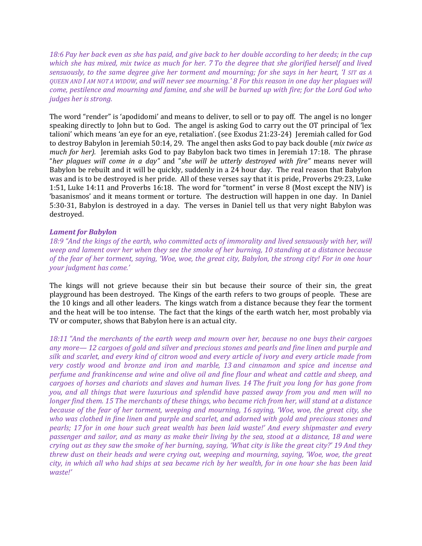18:6 Pay her back even as she has paid, and give back to her double according to her deeds; in the cup which she has mixed, mix twice as much for her. 7 To the degree that she glorified herself and lived sensuously, to the same degree give her torment and mourning; for she says in her heart, 'I SIT as A QUEEN AND I AM NOT A WIDOW, and will never see mourning.' 8 For this reason in one day her plagues will come, pestilence and mourning and famine, and she will be burned up with fire; for the Lord God who judges her is strong.

The word "render" is 'apodidomi' and means to deliver, to sell or to pay off. The angel is no longer speaking directly to John but to God. The angel is asking God to carry out the OT principal of 'lex talioni' which means 'an eye for an eye, retaliation'. (see Exodus 21:23-24) Jeremiah called for God to destroy Babylon in Jeremiah 50:14, 29. The angel then asks God to pay back double (mix twice as much for her). Jeremiah asks God to pay Babylon back two times in Jeremiah 17:18. The phrase "her plagues will come in a day" and "she will be utterly destroyed with fire" means never will Babylon be rebuilt and it will be quickly, suddenly in a 24 hour day. The real reason that Babylon was and is to be destroyed is her pride. All of these verses say that it is pride, Proverbs 29:23, Luke 1:51, Luke 14:11 and Proverbs 16:18. The word for "torment" in verse 8 (Most except the NIV) is 'basanismos' and it means torment or torture. The destruction will happen in one day. In Daniel 5:30-31, Babylon is destroyed in a day. The verses in Daniel tell us that very night Babylon was destroyed.

## Lament for Babylon

18:9 "And the kings of the earth, who committed acts of immorality and lived sensuously with her, will weep and lament over her when they see the smoke of her burning, 10 standing at a distance because of the fear of her torment, saying, 'Woe, woe, the great city, Babylon, the strong city! For in one hour your judgment has come.'

The kings will not grieve because their sin but because their source of their sin, the great playground has been destroyed. The Kings of the earth refers to two groups of people. These are the 10 kings and all other leaders. The kings watch from a distance because they fear the torment and the heat will be too intense. The fact that the kings of the earth watch her, most probably via TV or computer, shows that Babylon here is an actual city.

18:11 "And the merchants of the earth weep and mourn over her, because no one buys their cargoes any more— 12 cargoes of gold and silver and precious stones and pearls and fine linen and purple and silk and scarlet, and every kind of citron wood and every article of ivory and every article made from very costly wood and bronze and iron and marble, 13 and cinnamon and spice and incense and perfume and frankincense and wine and olive oil and fine flour and wheat and cattle and sheep, and cargoes of horses and chariots and slaves and human lives. 14 The fruit you long for has gone from you, and all things that were luxurious and splendid have passed away from you and men will no longer find them. 15 The merchants of these things, who became rich from her, will stand at a distance because of the fear of her torment, weeping and mourning, 16 saying, 'Woe, woe, the great city, she who was clothed in fine linen and purple and scarlet, and adorned with gold and precious stones and pearls; 17 for in one hour such great wealth has been laid waste!' And every shipmaster and every passenger and sailor, and as many as make their living by the sea, stood at a distance, 18 and were crying out as they saw the smoke of her burning, saying, 'What city is like the great city?' 19 And they threw dust on their heads and were crying out, weeping and mourning, saying, 'Woe, woe, the great city, in which all who had ships at sea became rich by her wealth, for in one hour she has been laid waste!'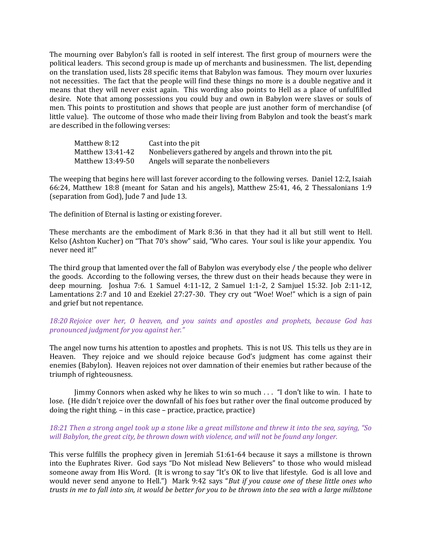The mourning over Babylon's fall is rooted in self interest. The first group of mourners were the political leaders. This second group is made up of merchants and businessmen. The list, depending on the translation used, lists 28 specific items that Babylon was famous. They mourn over luxuries not necessities. The fact that the people will find these things no more is a double negative and it means that they will never exist again. This wording also points to Hell as a place of unfulfilled desire. Note that among possessions you could buy and own in Babylon were slaves or souls of men. This points to prostitution and shows that people are just another form of merchandise (of little value). The outcome of those who made their living from Babylon and took the beast's mark are described in the following verses:

| Matthew 8:12     | Cast into the pit                                        |
|------------------|----------------------------------------------------------|
| Matthew 13:41-42 | Nonbelievers gathered by angels and thrown into the pit. |
| Matthew 13:49-50 | Angels will separate the nonbelievers                    |

The weeping that begins here will last forever according to the following verses. Daniel 12:2, Isaiah 66:24, Matthew 18:8 (meant for Satan and his angels), Matthew 25:41, 46, 2 Thessalonians 1:9 (separation from God), Jude 7 and Jude 13.

The definition of Eternal is lasting or existing forever.

These merchants are the embodiment of Mark 8:36 in that they had it all but still went to Hell. Kelso (Ashton Kucher) on "That 70's show" said, "Who cares. Your soul is like your appendix. You never need it!"

The third group that lamented over the fall of Babylon was everybody else / the people who deliver the goods. According to the following verses, the threw dust on their heads because they were in deep mourning. Joshua 7:6. 1 Samuel 4:11-12, 2 Samuel 1:1-2, 2 Samjuel 15:32. Job 2:11-12, Lamentations 2:7 and 10 and Ezekiel 27:27-30. They cry out "Woe! Woe!" which is a sign of pain and grief but not repentance.

## 18:20 Rejoice over her, O heaven, and you saints and apostles and prophets, because God has pronounced judgment for you against her."

The angel now turns his attention to apostles and prophets. This is not US. This tells us they are in Heaven. They rejoice and we should rejoice because God's judgment has come against their enemies (Babylon). Heaven rejoices not over damnation of their enemies but rather because of the triumph of righteousness.

Jimmy Connors when asked why he likes to win so much . . . "I don't like to win. I hate to lose. (He didn't rejoice over the downfall of his foes but rather over the final outcome produced by doing the right thing. – in this case – practice, practice, practice)

## 18:21 Then a strong angel took up a stone like a great millstone and threw it into the sea, saying, "So will Babylon, the great city, be thrown down with violence, and will not be found any longer.

This verse fulfills the prophecy given in Jeremiah 51:61-64 because it says a millstone is thrown into the Euphrates River. God says "Do Not mislead New Believers" to those who would mislead someone away from His Word. (It is wrong to say "It's OK to live that lifestyle. God is all love and would never send anyone to Hell.") Mark 9:42 says "But if you cause one of these little ones who trusts in me to fall into sin, it would be better for you to be thrown into the sea with a large millstone